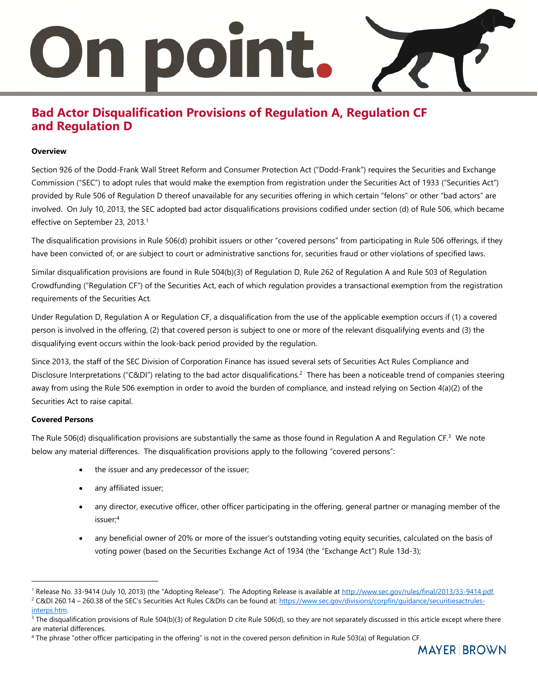# 1 DOIN t.

### **Bad Actor Disqualification Provisions of Regulation A, Regulation CF and Regulation D**

#### **Overview**

Section 926 of the Dodd-Frank Wall Street Reform and Consumer Protection Act ("Dodd-Frank") requires the Securities and Exchange Commission ("SEC") to adopt rules that would make the exemption from registration under the Securities Act of 1933 ("Securities Act") provided by Rule 506 of Regulation D thereof unavailable for any securities offering in which certain "felons" or other "bad actors" are involved. On July 10, 2013, the SEC adopted bad actor disqualifications provisions codified under section (d) of Rule 506, which became effective on September 23, 2013.<sup>1</sup>

The disqualification provisions in Rule 506(d) prohibit issuers or other "covered persons" from participating in Rule 506 offerings, if they have been convicted of, or are subject to court or administrative sanctions for, securities fraud or other violations of specified laws.

Similar disqualification provisions are found in Rule 504(b)(3) of Regulation D, Rule 262 of Regulation A and Rule 503 of Regulation Crowdfunding ("Regulation CF") of the Securities Act, each of which regulation provides a transactional exemption from the registration requirements of the Securities Act.

Under Regulation D, Regulation A or Regulation CF, a disqualification from the use of the applicable exemption occurs if (1) a covered person is involved in the offering, (2) that covered person is subject to one or more of the relevant disqualifying events and (3) the disqualifying event occurs within the look-back period provided by the regulation.

Since 2013, the staff of the SEC Division of Corporation Finance has issued several sets of Securities Act Rules Compliance and Disclosure Interpretations ("C&DI") relating to the bad actor disqualifications.<sup>2</sup> There has been a noticeable trend of companies steering away from using the Rule 506 exemption in order to avoid the burden of compliance, and instead relying on Section 4(a)(2) of the Securities Act to raise capital.

#### **Covered Persons**

 $\overline{a}$ 

The Rule 506(d) disqualification provisions are substantially the same as those found in Regulation A and Regulation CF.<sup>3</sup> We note below any material differences. The disqualification provisions apply to the following "covered persons":

- the issuer and any predecessor of the issuer;
- any affiliated issuer;
- any director, executive officer, other officer participating in the offering, general partner or managing member of the issuer;<sup>4</sup>
- any beneficial owner of 20% or more of the issuer's outstanding voting equity securities, calculated on the basis of voting power (based on the Securities Exchange Act of 1934 (the "Exchange Act") Rule 13d-3);

<sup>&</sup>lt;sup>1</sup> Release No. 33-9414 (July 10, 2013) (the "Adopting Release"). The Adopting Release is available at http://www.sec.gov/rules/final/2013/33-9414.pdf. <sup>2</sup> C&DI 260.14 – 260.38 of the SEC's Securities Act Rules C&DIs can be found at[: https://www.sec.gov/divisions/corpfin/guidance/securitiesactrules](https://www.sec.gov/divisions/corpfin/guidance/securitiesactrules-interps.htm)[interps.htm.](https://www.sec.gov/divisions/corpfin/guidance/securitiesactrules-interps.htm) 

 $3$  The disqualification provisions of Rule 504(b)(3) of Regulation D cite Rule 506(d), so they are not separately discussed in this article except where there are material differences.

<sup>4</sup> The phrase "other officer participating in the offering" is not in the covered person definition in Rule 503(a) of Regulation CF.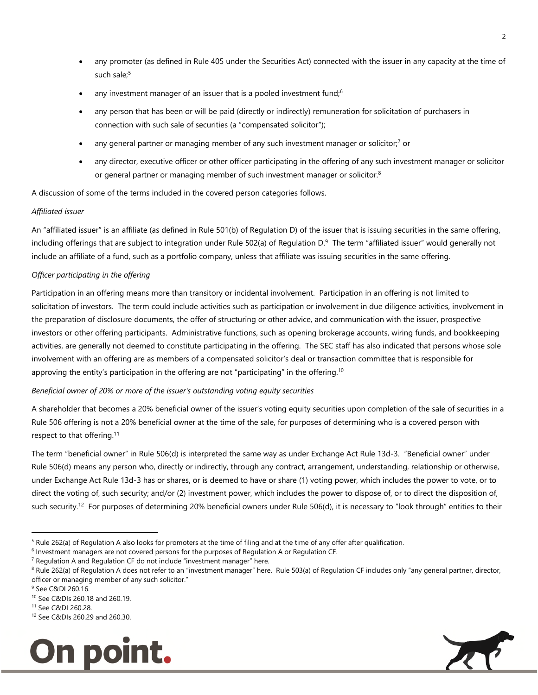- any promoter (as defined in Rule 405 under the Securities Act) connected with the issuer in any capacity at the time of such sale;<sup>5</sup>
- any investment manager of an issuer that is a pooled investment fund; $6$
- any person that has been or will be paid (directly or indirectly) remuneration for solicitation of purchasers in connection with such sale of securities (a "compensated solicitor");
- any general partner or managing member of any such investment manager or solicitor;<sup>7</sup> or
- any director, executive officer or other officer participating in the offering of any such investment manager or solicitor or general partner or managing member of such investment manager or solicitor.<sup>8</sup>

A discussion of some of the terms included in the covered person categories follows.

#### *Affiliated issuer*

An "affiliated issuer" is an affiliate (as defined in Rule 501(b) of Regulation D) of the issuer that is issuing securities in the same offering, including offerings that are subject to integration under Rule 502(a) of Regulation D.<sup>9</sup> The term "affiliated issuer" would generally not include an affiliate of a fund, such as a portfolio company, unless that affiliate was issuing securities in the same offering.

#### *Officer participating in the offering*

Participation in an offering means more than transitory or incidental involvement. Participation in an offering is not limited to solicitation of investors. The term could include activities such as participation or involvement in due diligence activities, involvement in the preparation of disclosure documents, the offer of structuring or other advice, and communication with the issuer, prospective investors or other offering participants. Administrative functions, such as opening brokerage accounts, wiring funds, and bookkeeping activities, are generally not deemed to constitute participating in the offering. The SEC staff has also indicated that persons whose sole involvement with an offering are as members of a compensated solicitor's deal or transaction committee that is responsible for approving the entity's participation in the offering are not "participating" in the offering.<sup>10</sup>

#### *Beneficial owner of 20% or more of the issuer's outstanding voting equity securities*

A shareholder that becomes a 20% beneficial owner of the issuer's voting equity securities upon completion of the sale of securities in a Rule 506 offering is not a 20% beneficial owner at the time of the sale, for purposes of determining who is a covered person with respect to that offering.<sup>11</sup>

The term "beneficial owner" in Rule 506(d) is interpreted the same way as under Exchange Act Rule 13d-3. "Beneficial owner" under Rule 506(d) means any person who, directly or indirectly, through any contract, arrangement, understanding, relationship or otherwise, under Exchange Act Rule 13d-3 has or shares, or is deemed to have or share (1) voting power, which includes the power to vote, or to direct the voting of, such security; and/or (2) investment power, which includes the power to dispose of, or to direct the disposition of, such security.<sup>12</sup> For purposes of determining 20% beneficial owners under Rule 506(d), it is necessary to "look through" entities to their

 $\overline{a}$ 

<sup>12</sup> See C&DIs 260.29 and 260.30.





<sup>&</sup>lt;sup>5</sup> Rule 262(a) of Regulation A also looks for promoters at the time of filing and at the time of any offer after qualification.

<sup>&</sup>lt;sup>6</sup> Investment managers are not covered persons for the purposes of Regulation A or Regulation CF.

<sup>&</sup>lt;sup>7</sup> Regulation A and Regulation CF do not include "investment manager" here.

<sup>&</sup>lt;sup>8</sup> Rule 262(a) of Regulation A does not refer to an "investment manager" here. Rule 503(a) of Regulation CF includes only "any general partner, director, officer or managing member of any such solicitor."

<sup>&</sup>lt;sup>9</sup> See C&DI 260.16.

<sup>10</sup> See C&DIs 260.18 and 260.19.

<sup>11</sup> See C&DI 260.28.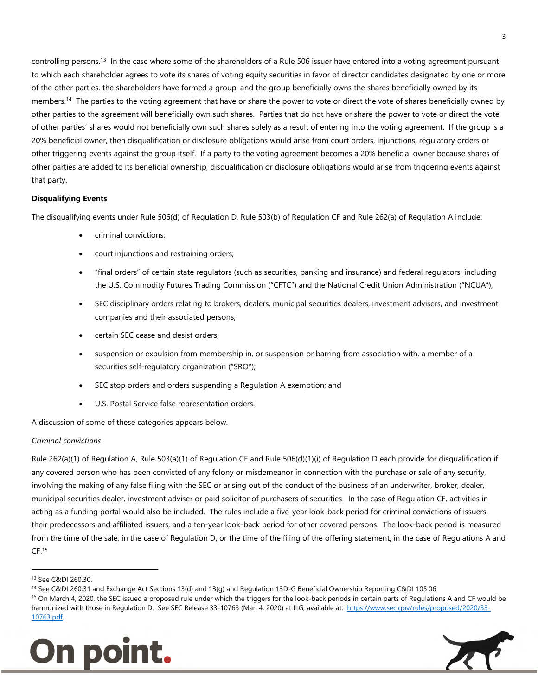controlling persons.<sup>13</sup> In the case where some of the shareholders of a Rule 506 issuer have entered into a voting agreement pursuant to which each shareholder agrees to vote its shares of voting equity securities in favor of director candidates designated by one or more of the other parties, the shareholders have formed a group, and the group beneficially owns the shares beneficially owned by its members.<sup>14</sup> The parties to the voting agreement that have or share the power to vote or direct the vote of shares beneficially owned by other parties to the agreement will beneficially own such shares. Parties that do not have or share the power to vote or direct the vote of other parties' shares would not beneficially own such shares solely as a result of entering into the voting agreement. If the group is a 20% beneficial owner, then disqualification or disclosure obligations would arise from court orders, injunctions, regulatory orders or other triggering events against the group itself. If a party to the voting agreement becomes a 20% beneficial owner because shares of other parties are added to its beneficial ownership, disqualification or disclosure obligations would arise from triggering events against that party.

#### **Disqualifying Events**

The disqualifying events under Rule 506(d) of Regulation D, Rule 503(b) of Regulation CF and Rule 262(a) of Regulation A include:

- criminal convictions;
- court injunctions and restraining orders;
- "final orders" of certain state regulators (such as securities, banking and insurance) and federal regulators, including the U.S. Commodity Futures Trading Commission ("CFTC") and the National Credit Union Administration ("NCUA");
- SEC disciplinary orders relating to brokers, dealers, municipal securities dealers, investment advisers, and investment companies and their associated persons;
- certain SEC cease and desist orders;
- suspension or expulsion from membership in, or suspension or barring from association with, a member of a securities self-regulatory organization ("SRO");
- SEC stop orders and orders suspending a Regulation A exemption; and
- U.S. Postal Service false representation orders.

A discussion of some of these categories appears below.

#### *Criminal convictions*

Rule 262(a)(1) of Regulation A, Rule 503(a)(1) of Regulation CF and Rule 506(d)(1)(i) of Regulation D each provide for disqualification if any covered person who has been convicted of any felony or misdemeanor in connection with the purchase or sale of any security, involving the making of any false filing with the SEC or arising out of the conduct of the business of an underwriter, broker, dealer, municipal securities dealer, investment adviser or paid solicitor of purchasers of securities. In the case of Regulation CF, activities in acting as a funding portal would also be included. The rules include a five-year look-back period for criminal convictions of issuers, their predecessors and affiliated issuers, and a ten-year look-back period for other covered persons. The look-back period is measured from the time of the sale, in the case of Regulation D, or the time of the filing of the offering statement, in the case of Regulations A and  $CF<sup>15</sup>$ 

j

<sup>&</sup>lt;sup>15</sup> On March 4, 2020, the SEC issued a proposed rule under which the triggers for the look-back periods in certain parts of Regulations A and CF would be harmonized with those in Regulation D. See SEC Release 33-10763 (Mar. 4. 2020) at II.G, available at: [https://www.sec.gov/rules/proposed/2020/33-](https://www.sec.gov/rules/proposed/2020/33-10763.pdf) [10763.pdf.](https://www.sec.gov/rules/proposed/2020/33-10763.pdf)





<sup>13</sup> See C&DI 260.30.

<sup>&</sup>lt;sup>14</sup> See C&DI 260.31 and Exchange Act Sections 13(d) and 13(g) and Regulation 13D-G Beneficial Ownership Reporting C&DI 105.06.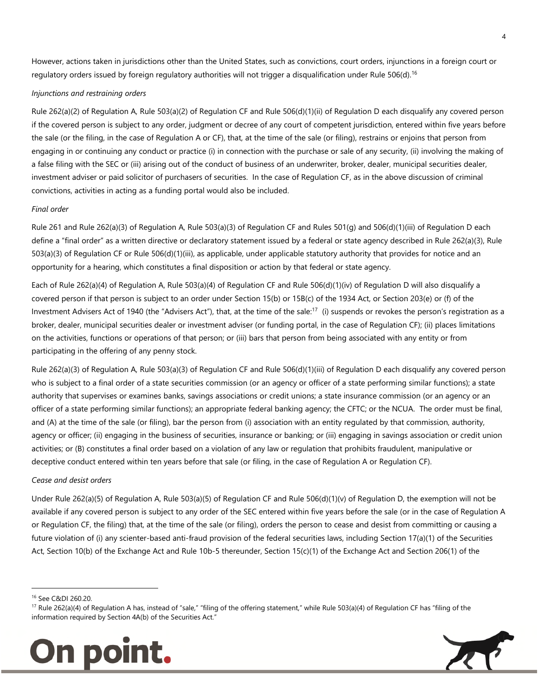However, actions taken in jurisdictions other than the United States, such as convictions, court orders, injunctions in a foreign court or regulatory orders issued by foreign regulatory authorities will not trigger a disqualification under Rule 506(d).<sup>16</sup>

#### *Injunctions and restraining orders*

Rule 262(a)(2) of Regulation A, Rule 503(a)(2) of Regulation CF and Rule 506(d)(1)(ii) of Regulation D each disqualify any covered person if the covered person is subject to any order, judgment or decree of any court of competent jurisdiction, entered within five years before the sale (or the filing, in the case of Regulation A or CF), that, at the time of the sale (or filing), restrains or enjoins that person from engaging in or continuing any conduct or practice (i) in connection with the purchase or sale of any security, (ii) involving the making of a false filing with the SEC or (iii) arising out of the conduct of business of an underwriter, broker, dealer, municipal securities dealer, investment adviser or paid solicitor of purchasers of securities. In the case of Regulation CF, as in the above discussion of criminal convictions, activities in acting as a funding portal would also be included.

#### *Final order*

Rule 261 and Rule 262(a)(3) of Regulation A, Rule 503(a)(3) of Regulation CF and Rules 501(g) and 506(d)(1)(iii) of Regulation D each define a "final order" as a written directive or declaratory statement issued by a federal or state agency described in Rule 262(a)(3), Rule 503(a)(3) of Regulation CF or Rule 506(d)(1)(iii), as applicable, under applicable statutory authority that provides for notice and an opportunity for a hearing, which constitutes a final disposition or action by that federal or state agency.

Each of Rule 262(a)(4) of Regulation A, Rule 503(a)(4) of Regulation CF and Rule 506(d)(1)(iv) of Regulation D will also disqualify a covered person if that person is subject to an order under Section 15(b) or 15B(c) of the 1934 Act, or Section 203(e) or (f) of the Investment Advisers Act of 1940 (the "Advisers Act"), that, at the time of the sale:<sup>17</sup> (i) suspends or revokes the person's registration as a broker, dealer, municipal securities dealer or investment adviser (or funding portal, in the case of Regulation CF); (ii) places limitations on the activities, functions or operations of that person; or (iii) bars that person from being associated with any entity or from participating in the offering of any penny stock.

Rule 262(a)(3) of Regulation A, Rule 503(a)(3) of Regulation CF and Rule 506(d)(1)(iii) of Regulation D each disqualify any covered person who is subject to a final order of a state securities commission (or an agency or officer of a state performing similar functions); a state authority that supervises or examines banks, savings associations or credit unions; a state insurance commission (or an agency or an officer of a state performing similar functions); an appropriate federal banking agency; the CFTC; or the NCUA. The order must be final, and (A) at the time of the sale (or filing), bar the person from (i) association with an entity regulated by that commission, authority, agency or officer; (ii) engaging in the business of securities, insurance or banking; or (iii) engaging in savings association or credit union activities; or (B) constitutes a final order based on a violation of any law or regulation that prohibits fraudulent, manipulative or deceptive conduct entered within ten years before that sale (or filing, in the case of Regulation A or Regulation CF).

#### *Cease and desist orders*

Under Rule 262(a)(5) of Regulation A, Rule 503(a)(5) of Regulation CF and Rule 506(d)(1)(v) of Regulation D, the exemption will not be available if any covered person is subject to any order of the SEC entered within five years before the sale (or in the case of Regulation A or Regulation CF, the filing) that, at the time of the sale (or filing), orders the person to cease and desist from committing or causing a future violation of (i) any scienter-based anti-fraud provision of the federal securities laws, including Section 17(a)(1) of the Securities Act, Section 10(b) of the Exchange Act and Rule 10b-5 thereunder, Section 15(c)(1) of the Exchange Act and Section 206(1) of the

 $\overline{a}$ 

<sup>&</sup>lt;sup>17</sup> Rule 262(a)(4) of Regulation A has, instead of "sale," "filing of the offering statement," while Rule 503(a)(4) of Regulation CF has "filing of the information required by Section 4A(b) of the Securities Act."



<sup>16</sup> See C&DI 260.20.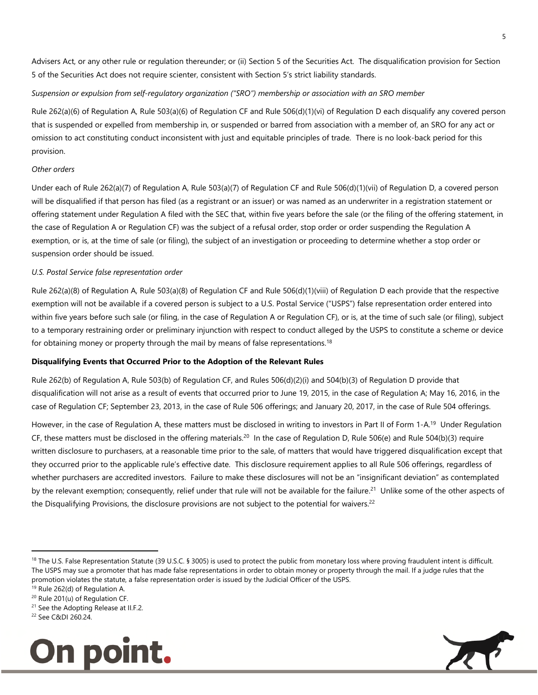Advisers Act, or any other rule or regulation thereunder; or (ii) Section 5 of the Securities Act. The disqualification provision for Section 5 of the Securities Act does not require scienter, consistent with Section 5's strict liability standards.

#### *Suspension or expulsion from self-regulatory organization ("SRO") membership or association with an SRO member*

Rule 262(a)(6) of Regulation A, Rule 503(a)(6) of Regulation CF and Rule 506(d)(1)(vi) of Regulation D each disqualify any covered person that is suspended or expelled from membership in, or suspended or barred from association with a member of, an SRO for any act or omission to act constituting conduct inconsistent with just and equitable principles of trade. There is no look-back period for this provision.

#### *Other orders*

Under each of Rule 262(a)(7) of Regulation A, Rule 503(a)(7) of Regulation CF and Rule 506(d)(1)(vii) of Regulation D, a covered person will be disqualified if that person has filed (as a registrant or an issuer) or was named as an underwriter in a registration statement or offering statement under Regulation A filed with the SEC that, within five years before the sale (or the filing of the offering statement, in the case of Regulation A or Regulation CF) was the subject of a refusal order, stop order or order suspending the Regulation A exemption, or is, at the time of sale (or filing), the subject of an investigation or proceeding to determine whether a stop order or suspension order should be issued.

#### *U.S. Postal Service false representation order*

Rule 262(a)(8) of Regulation A, Rule 503(a)(8) of Regulation CF and Rule 506(d)(1)(viii) of Regulation D each provide that the respective exemption will not be available if a covered person is subject to a U.S. Postal Service ("USPS") false representation order entered into within five years before such sale (or filing, in the case of Regulation A or Regulation CF), or is, at the time of such sale (or filing), subject to a temporary restraining order or preliminary injunction with respect to conduct alleged by the USPS to constitute a scheme or device for obtaining money or property through the mail by means of false representations.<sup>18</sup>

#### **Disqualifying Events that Occurred Prior to the Adoption of the Relevant Rules**

Rule 262(b) of Regulation A, Rule 503(b) of Regulation CF, and Rules 506(d)(2)(i) and 504(b)(3) of Regulation D provide that disqualification will not arise as a result of events that occurred prior to June 19, 2015, in the case of Regulation A; May 16, 2016, in the case of Regulation CF; September 23, 2013, in the case of Rule 506 offerings; and January 20, 2017, in the case of Rule 504 offerings.

However, in the case of Regulation A, these matters must be disclosed in writing to investors in Part II of Form 1-A.<sup>19</sup> Under Regulation CF, these matters must be disclosed in the offering materials.<sup>20</sup> In the case of Regulation D, Rule 506(e) and Rule 504(b)(3) require written disclosure to purchasers, at a reasonable time prior to the sale, of matters that would have triggered disqualification except that they occurred prior to the applicable rule's effective date. This disclosure requirement applies to all Rule 506 offerings, regardless of whether purchasers are accredited investors. Failure to make these disclosures will not be an "insignificant deviation" as contemplated by the relevant exemption; consequently, relief under that rule will not be available for the failure.<sup>21</sup> Unlike some of the other aspects of the Disqualifying Provisions, the disclosure provisions are not subject to the potential for waivers.<sup>22</sup>

j



 $18$  The U.S. False Representation Statute (39 U.S.C. § 3005) is used to protect the public from monetary loss where proving fraudulent intent is difficult. The USPS may sue a promoter that has made false representations in order to obtain money or property through the mail. If a judge rules that the promotion violates the statute, a false representation order is issued by the Judicial Officer of the USPS.

 $19$  Rule 262(d) of Regulation A.

<sup>20</sup> Rule 201(u) of Regulation CF.

<sup>&</sup>lt;sup>21</sup> See the Adopting Release at II.F.2.

<sup>22</sup> See C&DI 260.24.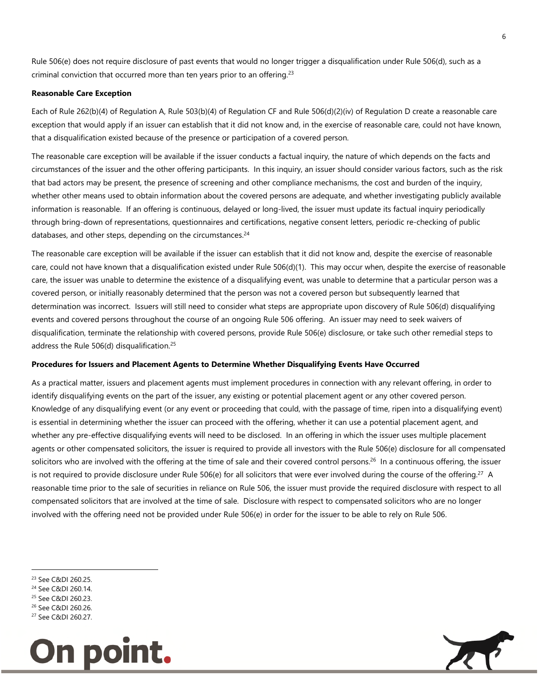Rule 506(e) does not require disclosure of past events that would no longer trigger a disqualification under Rule 506(d), such as a criminal conviction that occurred more than ten years prior to an offering.<sup>23</sup>

#### **Reasonable Care Exception**

Each of Rule 262(b)(4) of Regulation A, Rule 503(b)(4) of Regulation CF and Rule 506(d)(2)(iv) of Regulation D create a reasonable care exception that would apply if an issuer can establish that it did not know and, in the exercise of reasonable care, could not have known, that a disqualification existed because of the presence or participation of a covered person.

The reasonable care exception will be available if the issuer conducts a factual inquiry, the nature of which depends on the facts and circumstances of the issuer and the other offering participants. In this inquiry, an issuer should consider various factors, such as the risk that bad actors may be present, the presence of screening and other compliance mechanisms, the cost and burden of the inquiry, whether other means used to obtain information about the covered persons are adequate, and whether investigating publicly available information is reasonable. If an offering is continuous, delayed or long-lived, the issuer must update its factual inquiry periodically through bring-down of representations, questionnaires and certifications, negative consent letters, periodic re-checking of public databases, and other steps, depending on the circumstances.<sup>24</sup>

The reasonable care exception will be available if the issuer can establish that it did not know and, despite the exercise of reasonable care, could not have known that a disqualification existed under Rule 506(d)(1). This may occur when, despite the exercise of reasonable care, the issuer was unable to determine the existence of a disqualifying event, was unable to determine that a particular person was a covered person, or initially reasonably determined that the person was not a covered person but subsequently learned that determination was incorrect. Issuers will still need to consider what steps are appropriate upon discovery of Rule 506(d) disqualifying events and covered persons throughout the course of an ongoing Rule 506 offering. An issuer may need to seek waivers of disqualification, terminate the relationship with covered persons, provide Rule 506(e) disclosure, or take such other remedial steps to address the Rule 506(d) disqualification.<sup>25</sup>

#### **Procedures for Issuers and Placement Agents to Determine Whether Disqualifying Events Have Occurred**

As a practical matter, issuers and placement agents must implement procedures in connection with any relevant offering, in order to identify disqualifying events on the part of the issuer, any existing or potential placement agent or any other covered person. Knowledge of any disqualifying event (or any event or proceeding that could, with the passage of time, ripen into a disqualifying event) is essential in determining whether the issuer can proceed with the offering, whether it can use a potential placement agent, and whether any pre-effective disqualifying events will need to be disclosed. In an offering in which the issuer uses multiple placement agents or other compensated solicitors, the issuer is required to provide all investors with the Rule 506(e) disclosure for all compensated solicitors who are involved with the offering at the time of sale and their covered control persons.<sup>26</sup> In a continuous offering, the issuer is not required to provide disclosure under Rule 506(e) for all solicitors that were ever involved during the course of the offering.<sup>27</sup> A reasonable time prior to the sale of securities in reliance on Rule 506, the issuer must provide the required disclosure with respect to all compensated solicitors that are involved at the time of sale. Disclosure with respect to compensated solicitors who are no longer involved with the offering need not be provided under Rule 506(e) in order for the issuer to be able to rely on Rule 506.

j

<sup>27</sup> See C&DI 260.27.





<sup>23</sup> See C&DI 260.25.

<sup>24</sup> See C&DI 260.14.

<sup>25</sup> See C&DI 260.23.

<sup>26</sup> See C&DI 260.26.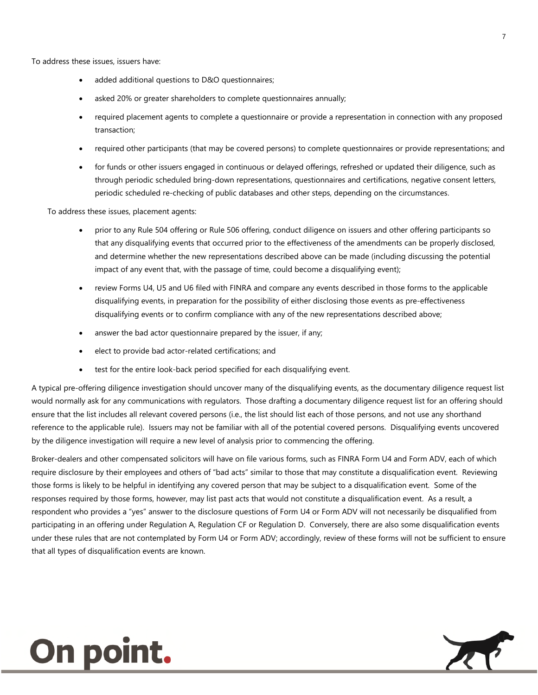To address these issues, issuers have:

- added additional questions to D&O questionnaires;
- asked 20% or greater shareholders to complete questionnaires annually;
- required placement agents to complete a questionnaire or provide a representation in connection with any proposed transaction;
- required other participants (that may be covered persons) to complete questionnaires or provide representations; and
- for funds or other issuers engaged in continuous or delayed offerings, refreshed or updated their diligence, such as through periodic scheduled bring-down representations, questionnaires and certifications, negative consent letters, periodic scheduled re-checking of public databases and other steps, depending on the circumstances.

To address these issues, placement agents:

- prior to any Rule 504 offering or Rule 506 offering, conduct diligence on issuers and other offering participants so that any disqualifying events that occurred prior to the effectiveness of the amendments can be properly disclosed, and determine whether the new representations described above can be made (including discussing the potential impact of any event that, with the passage of time, could become a disqualifying event);
- review Forms U4, U5 and U6 filed with FINRA and compare any events described in those forms to the applicable disqualifying events, in preparation for the possibility of either disclosing those events as pre-effectiveness disqualifying events or to confirm compliance with any of the new representations described above;
- answer the bad actor questionnaire prepared by the issuer, if any;
- elect to provide bad actor-related certifications; and
- test for the entire look-back period specified for each disqualifying event.

A typical pre-offering diligence investigation should uncover many of the disqualifying events, as the documentary diligence request list would normally ask for any communications with regulators. Those drafting a documentary diligence request list for an offering should ensure that the list includes all relevant covered persons (i.e., the list should list each of those persons, and not use any shorthand reference to the applicable rule). Issuers may not be familiar with all of the potential covered persons. Disqualifying events uncovered by the diligence investigation will require a new level of analysis prior to commencing the offering.

Broker-dealers and other compensated solicitors will have on file various forms, such as FINRA Form U4 and Form ADV, each of which require disclosure by their employees and others of "bad acts" similar to those that may constitute a disqualification event. Reviewing those forms is likely to be helpful in identifying any covered person that may be subject to a disqualification event. Some of the responses required by those forms, however, may list past acts that would not constitute a disqualification event. As a result, a respondent who provides a "yes" answer to the disclosure questions of Form U4 or Form ADV will not necessarily be disqualified from participating in an offering under Regulation A, Regulation CF or Regulation D. Conversely, there are also some disqualification events under these rules that are not contemplated by Form U4 or Form ADV; accordingly, review of these forms will not be sufficient to ensure that all types of disqualification events are known.

## **On point.**

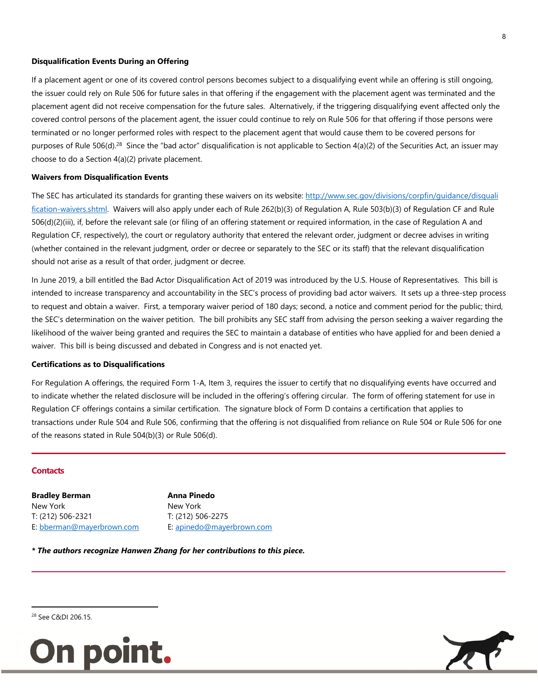#### **Disqualification Events During an Offering**

If a placement agent or one of its covered control persons becomes subject to a disqualifying event while an offering is still ongoing, the issuer could rely on Rule 506 for future sales in that offering if the engagement with the placement agent was terminated and the placement agent did not receive compensation for the future sales. Alternatively, if the triggering disqualifying event affected only the covered control persons of the placement agent, the issuer could continue to rely on Rule 506 for that offering if those persons were terminated or no longer performed roles with respect to the placement agent that would cause them to be covered persons for purposes of Rule 506(d).<sup>28</sup> Since the "bad actor" disqualification is not applicable to Section  $4(a)(2)$  of the Securities Act, an issuer may choose to do a Section 4(a)(2) private placement.

#### **Waivers from Disqualification Events**

The SEC has articulated its standards for granting these waivers on its website: http://www.sec.gov/divisions/corpfin/guidance/disquali [fication-waivers.shtml.](http://www.sec.gov/divisions/corpfin/guidance/disqualification-waivers.shtml) Waivers will also apply under each of Rule 262(b)(3) of Regulation A, Rule 503(b)(3) of Regulation CF and Rule 506(d)(2)(iii), if, before the relevant sale (or filing of an offering statement or required information, in the case of Regulation A and Regulation CF, respectively), the court or regulatory authority that entered the relevant order, judgment or decree advises in writing (whether contained in the relevant judgment, order or decree or separately to the SEC or its staff) that the relevant disqualification should not arise as a result of that order, judgment or decree.

In June 2019, a bill entitled the Bad Actor Disqualification Act of 2019 was introduced by the U.S. House of Representatives. This bill is intended to increase transparency and accountability in the SEC's process of providing bad actor waivers. It sets up a three-step process to request and obtain a waiver. First, a temporary waiver period of 180 days; second, a notice and comment period for the public; third, the SEC's determination on the waiver petition. The bill prohibits any SEC staff from advising the person seeking a waiver regarding the likelihood of the waiver being granted and requires the SEC to maintain a database of entities who have applied for and been denied a waiver. This bill is being discussed and debated in Congress and is not enacted yet.

#### **Certifications as to Disqualifications**

For Regulation A offerings, the required Form 1-A, Item 3, requires the issuer to certify that no disqualifying events have occurred and to indicate whether the related disclosure will be included in the offering's offering circular. The form of offering statement for use in Regulation CF offerings contains a similar certification. The signature block of Form D contains a certification that applies to transactions under Rule 504 and Rule 506, confirming that the offering is not disqualified from reliance on Rule 504 or Rule 506 for one of the reasons stated in Rule 504(b)(3) or Rule 506(d).

#### **Contacts**

**Bradley Berman** New York T: (212) 506-2321 E: [bberman@mayerbrown.com](mailto:bberman@mayerbrown.com) **Anna Pinedo** New York T: (212) 506-2275 E: [apinedo@mayerbrown.com](mailto:apinedo@mayerbrown.com)

*\* The authors recognize Hanwen Zhang for her contributions to this piece.* 



8

<sup>28</sup> See C&DI 206.15.

 $\overline{a}$